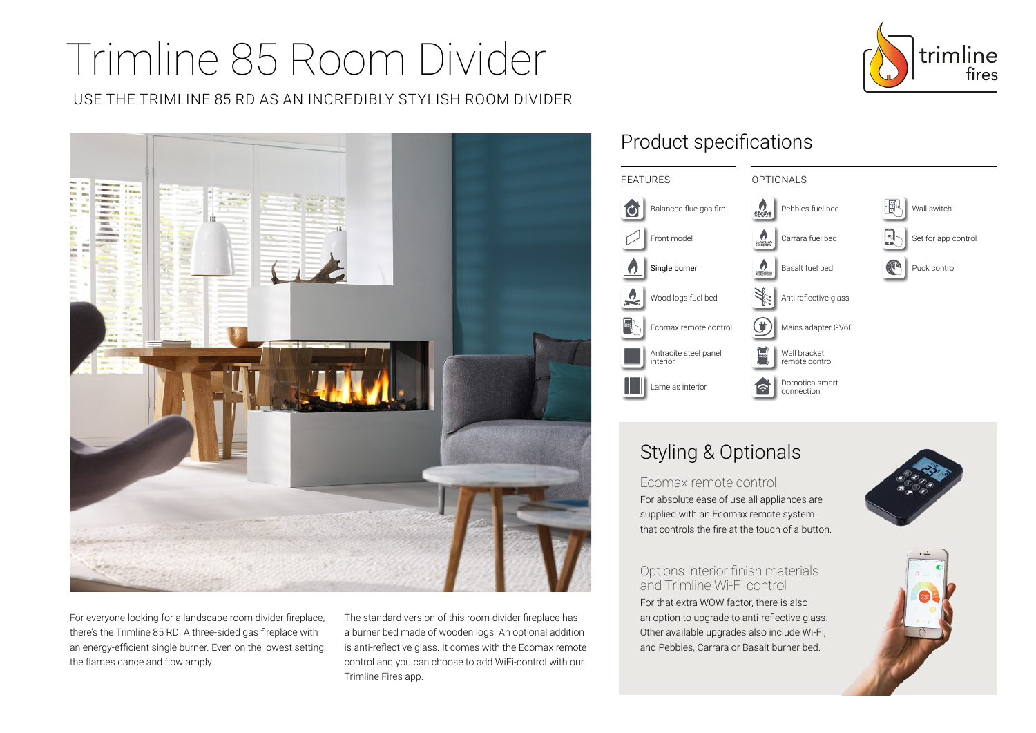# Trimline 85 Room Divider

USE THE TRIMLINE 85 RD AS AN INCREDIBLY STYLISH ROOM DIVIDER



For everyone looking for a landscape room divider fireplace, there's the Trimline 85 RD. A three-sided gas fireplace with an energy-efficient single burner. Even on the lowest setting, the flames dance and flow amply.

The standard version of this room divider fireplace has a burner bed made of wooden logs. An optional addition is anti-reflective glass. It comes with the Ecomax remote control and you can choose to add WiFi-control with our Trimline Fires app.

## Product specifications



# Styling & Optionals

Ecomax remote control

For absolute ease of use all appliances are supplied with an Ecomax remote system that controls the fire at the touch of a button.

#### Options interior finish materials and Trimline Wi-Fi control

For that extra WOW factor, there is also an option to upgrade to anti-reflective glass. Other available upgrades also include Wi-Fi, and Pebbles, Carrara or Basalt burner bed.